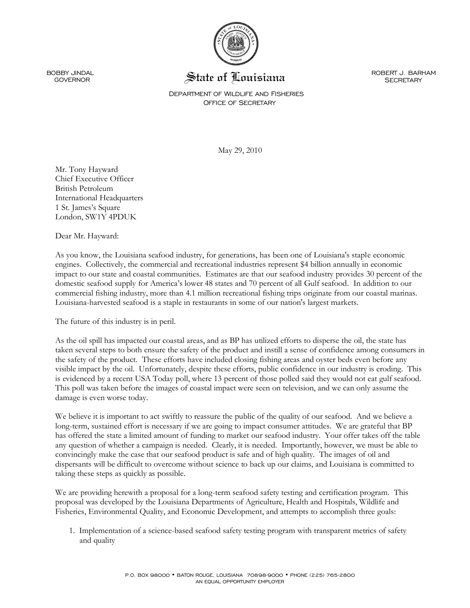

BOBBY JINDAL<br>GOVERNOR

State of Louisiana

 ROBERT J. BARHAM **SECRETARY** 

## DEPARTMENT OF WILDLIFE AND FISHERIES OFFICE OF SECRETARY

May 29, 2010

Mr. Tony Hayward Chief Executive Officer British Petroleum International Headquarters 1 St. James's Square London, SW1Y 4PDUK

Dear Mr. Hayward:

As you know, the Louisiana seafood industry, for generations, has been one of Louisiana's staple economic engines. Collectively, the commercial and recreational industries represent \$4 billion annually in economic impact to our state and coastal communities. Estimates are that our seafood industry provides 30 percent of the domestic seafood supply for America's lower 48 states and 70 percent of all Gulf seafood. In addition to our commercial fishing industry, more than 4.1 million recreational fishing trips originate from our coastal marinas. Louisiana-harvested seafood is a staple in restaurants in some of our nation's largest markets.

The future of this industry is in peril.

As the oil spill has impacted our coastal areas, and as BP has utilized efforts to disperse the oil, the state has taken several steps to both ensure the safety of the product and instill a sense of confidence among consumers in the safety of the product. These efforts have included closing fishing areas and oyster beds even before any visible impact by the oil. Unfortunately, despite these efforts, public confidence in our industry is eroding. This is evidenced by a recent USA Today poll, where 13 percent of those polled said they would not eat gulf seafood. This poll was taken before the images of coastal impact were seen on television, and we can only assume the damage is even worse today.

We believe it is important to act swiftly to reassure the public of the quality of our seafood. And we believe a long-term, sustained effort is necessary if we are going to impact consumer attitudes. We are grateful that BP has offered the state a limited amount of funding to market our seafood industry. Your offer takes off the table any question of whether a campaign is needed. Clearly, it is needed. Importantly, however, we must be able to convincingly make the case that our seafood product is safe and of high quality. The images of oil and dispersants will be difficult to overcome without science to back up our claims, and Louisiana is committed to taking these steps as quickly as possible.

We are providing herewith a proposal for a long-term seafood safety testing and certification program. This proposal was developed by the Louisiana Departments of Agriculture, Health and Hospitals, Wildlife and Fisheries, Environmental Quality, and Economic Development, and attempts to accomplish three goals:

1. Implementation of a science-based seafood safety testing program with transparent metrics of safety and quality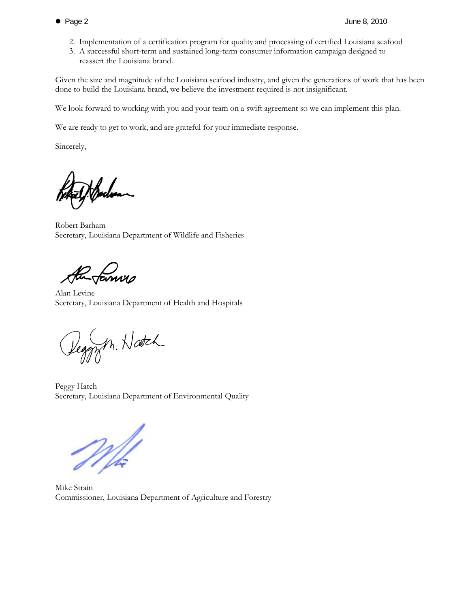- 2. Implementation of a certification program for quality and processing of certified Louisiana seafood
- 3. A successful short-term and sustained long-term consumer information campaign designed to reassert the Louisiana brand.

Given the size and magnitude of the Louisiana seafood industry, and given the generations of work that has been done to build the Louisiana brand, we believe the investment required is not insignificant.

We look forward to working with you and your team on a swift agreement so we can implement this plan.

We are ready to get to work, and are grateful for your immediate response.

Sincerely,

Jachen

Robert Barham Secretary, Louisiana Department of Wildlife and Fisheries

the family

Alan Levine Secretary, Louisiana Department of Health and Hospitals

Deggyn. Hatch

Peggy Hatch Secretary, Louisiana Department of Environmental Quality

White<br>White

Mike Strain Commissioner, Louisiana Department of Agriculture and Forestry